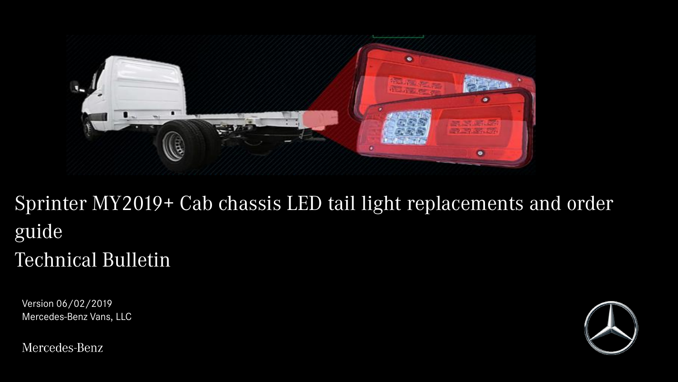

## Sprinter MY2019+ Cab chassis LED tail light replacements and order guide Technical Bulletin

Version 06/02/2019 Mercedes-Benz Vans, LLC

Mercedes-Benz

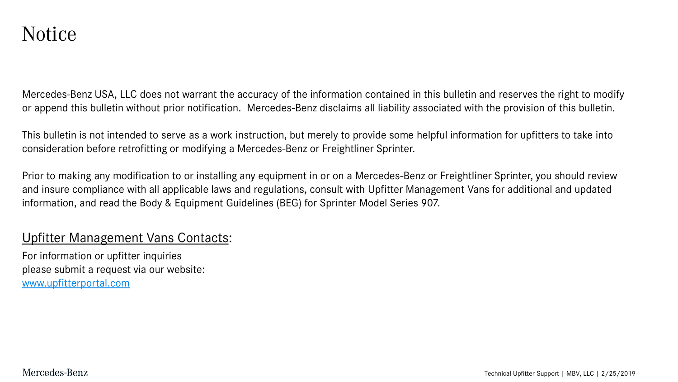Mercedes-Benz USA, LLC does not warrant the accuracy of the information contained in this bulletin and reserves the right to modify or append this bulletin without prior notification. Mercedes-Benz disclaims all liability associated with the provision of this bulletin.

This bulletin is not intended to serve as a work instruction, but merely to provide some helpful information for upfitters to take into consideration before retrofitting or modifying a Mercedes-Benz or Freightliner Sprinter.

Prior to making any modification to or installing any equipment in or on a Mercedes-Benz or Freightliner Sprinter, you should review and insure compliance with all applicable laws and regulations, consult with Upfitter Management Vans for additional and updated information, and read the Body & Equipment Guidelines (BEG) for Sprinter Model Series 907.

### Upfitter Management Vans Contacts:

For information or upfitter inquiries please submit a request via our website: [www.upfitterportal.com](http://www.upfitterportalcom/)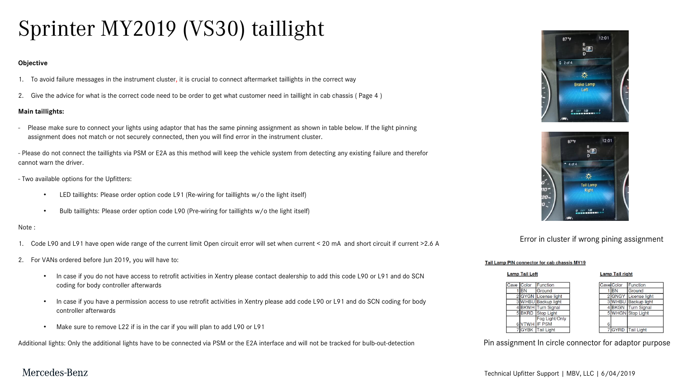# Sprinter MY2019 (VS30) taillight

#### **Objective**

- 1. To avoid failure messages in the instrument cluster, it is crucial to connect aftermarket taillights in the correct way
- 2. Give the advice for what is the correct code need to be order to get what customer need in taillight in cab chassis ( Page 4 )

#### **Main taillights:**

Please make sure to connect your lights using adaptor that has the same pinning assignment as shown in table below. If the light pinning assignment does not match or not securely connected, then you will find error in the instrument cluster.

- Please do not connect the taillights via PSM or E2A as this method will keep the vehicle system from detecting any existing failure and therefor cannot warn the driver.

- Two available options for the Upfitters:
	- LED taillights: Please order option code L91 (Re-wiring for taillights w/o the light itself)
	- Bulb taillights: Please order option code L90 (Pre-wiring for taillights w/o the light itself)

#### Note :

- 1. Code L90 and L91 have open wide range of the current limit Open circuit error will set when current < 20 mA and short circuit if current >2.6 A
- 2. For VANs ordered before Jun 2019, you will have to:
	- In case if you do not have access to retrofit activities in Xentry please contact dealership to add this code L90 or L91 and do SCN coding for body controller afterwards
	- In case if you have a permission access to use retrofit activities in Xentry please add code L90 or L91 and do SCN coding for body controller afterwards
	- Make sure to remove L22 if is in the car if you will plan to add L90 or L91

Additional lights: Only the additional lights have to be connected via PSM or the E2A interface and will not be tracked for bulb-out-detection Pin assignment In circle connector for adaptor purpose





#### Error in cluster if wrong pining assignment

#### Tail Lamp PIN connector for cab chassis MY19

**RN** 



### Mercedes-Benz